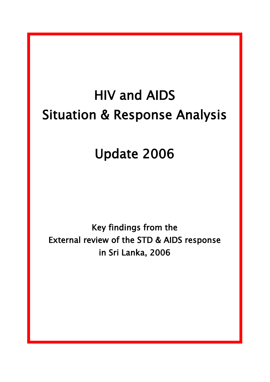# HIV and AIDS Situation & Response Analysis

## Update 2006

Key findings from the External review of the STD & AIDS response in Sri Lanka, 2006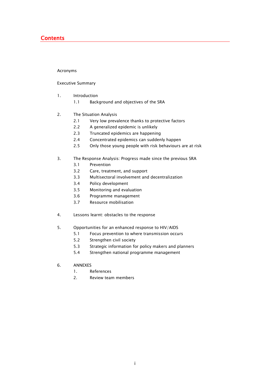## **Contents**

#### Acronyms

#### Executive Summary

- 1. Introduction
	- 1.1 Background and objectives of the SRA
- 2. The Situation Analysis
	- 2.1 Very low prevalence thanks to protective factors
	- 2.2 A generalized epidemic is unlikely
	- 2.3 Truncated epidemics are happening
	- 2.4 Concentrated epidemics can suddenly happen
	- 2.5 Only those young people with risk behaviours are at risk
- 3. The Response Analysis: Progress made since the previous SRA
	- 3.1 Prevention
	- 3.2 Care, treatment, and support
	- 3.3 Multisectoral involvement and decentralization
	- 3.4 Policy development
	- 3.5 Monitoring and evaluation
	- 3.6 Programme management
	- 3.7 Resource mobilisation
- 4. Lessons learnt: obstacles to the response
- 5. Opportunities for an enhanced response to HIV/AIDS
	- 5.1 Focus prevention to where transmission occurs
	- 5.2 Strengthen civil society
	- 5.3 Strategic information for policy makers and planners
	- 5.4 Strengthen national programme management
- 6. ANNEXES
	- 1. References
	- 2. Review team members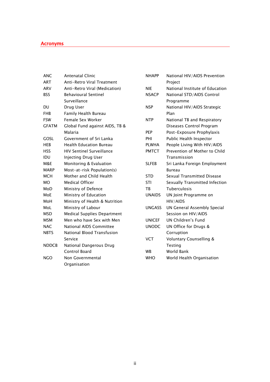## Acronyms

| ANC          | <b>Antenatal Clinic</b>            |
|--------------|------------------------------------|
| ART          | <b>Anti-Retro Viral Treatment</b>  |
| ARV          | Anti-Retro Viral (Medication)      |
| <b>BSS</b>   | <b>Behavioural Sentinel</b>        |
|              | Surveillance                       |
| DU           | Drug User                          |
| FHR          | <b>Family Health Bureau</b>        |
| FSW          | Female Sex Worker                  |
| <b>GFATM</b> | Global Fund against AIDS, TB &     |
|              | Malaria                            |
| GOSL         | Government of Sri Lanka            |
| HEB          | <b>Health Education Bureau</b>     |
| <b>HSS</b>   | <b>HIV Sentinel Surveillance</b>   |
| idu          | Injecting Drug User                |
| M&E          | Monitoring & Evaluation            |
| MARP         | Most-at-risk Population(s)         |
| <b>MCH</b>   | Mother and Child Health            |
| MO.          | <b>Medical Officer</b>             |
| MoD          | Ministry of Defence                |
| MoE          | Ministry of Education              |
| MoH          | Ministry of Health & Nutrition     |
| Mol          | Ministry of Labour                 |
| <b>MSD</b>   | <b>Medical Supplies Department</b> |
| MSM.         | Men who have Sex with Men          |
| <b>NAC</b>   | National AIDS Committee            |
| <b>NRTS</b>  | National Blood Transfusion         |
|              | Service                            |
| <b>NDDCB</b> | National Dangerous Drug            |
|              | Control Board                      |
| NGO          | Non Governmental                   |
|              | Organisation                       |

| <b>NHAPP</b>  | National HIV/AIDS Prevention       |
|---------------|------------------------------------|
|               | Project                            |
| <b>NIE</b>    | National Institute of Education    |
| <b>NSACP</b>  | National STD/AIDS Control          |
|               | Programme                          |
| <b>NSP</b>    | National HIV/AIDS Strategic        |
|               | Plan                               |
| <b>NTP</b>    | National TB and Respiratory        |
|               | Diseases Control Program           |
| <b>PEP</b>    | Post-Exposure Prophylaxis          |
| PHI           | Public Health Inspector            |
| <b>PLWHA</b>  | People Living With HIV/AIDS        |
| <b>PMTCT</b>  | Prevention of Mother to Child      |
|               | Transmission                       |
| <b>SLFEB</b>  | Sri Lanka Foreign Employment       |
|               | Bureau                             |
| <b>STD</b>    | Sexual Transmitted Disease         |
| STI           | Sexually Transmitted Infection     |
| <b>TR</b>     | Tuberculosis                       |
| <b>UNAIDS</b> | UN Joint Programme on              |
|               | HIV/AIDS                           |
| <b>UNGASS</b> | <b>UN General Assembly Special</b> |
|               | Session on HIV/AIDS                |
| <b>UNICEF</b> | <b>UN Children's Fund</b>          |
| <b>UNODC</b>  | UN Office for Drugs &              |
|               | Corruption                         |
| <b>VCT</b>    | <b>Voluntary Counselling &amp;</b> |
|               | <b>Testing</b>                     |
| WR            | World Bank                         |
| <b>WHO</b>    | World Health Organisation          |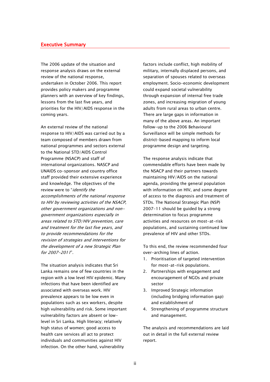#### Executive Summary

The 2006 update of the situation and response analysis draws on the external review of the national response, undertaken in October 2006. This report provides policy makers and programme planners with an overview of key findings, lessons from the last five years, and priorities for the HIV/AIDS response in the coming years.

An external review of the national response to HIV/AIDS was carried out by a team composed of members drawn from national programmes and sectors external to the National STD/AIDS Control Programme (NSACP) and staff of international organizations. NASCP and UNAIDS co-sponsor and country office staff provided their extensive experience and knowledge. The objectives of the review were to "identify the accomplishments of the national response to HIV by reviewing activities of the NSACP, other government organizations and nongovernment organizations especially in areas related to STD/HIV prevention, care and treatment for the last five years, and to provide recommendations for the revision of strategies and interventions for the development of a new Strategic Plan for 2007-2011".

The situation analysis indicates that Sri Lanka remains one of few countries in the region with a low level HIV epidemic. Many infections that have been identified are associated with overseas work. HIV prevalence appears to be low even in populations such as sex workers, despite high vulnerability and risk. Some important vulnerability factors are absent or lowlevel in Sri Lanka. High literacy; relatively high status of women; good access to health care services all act to protect individuals and communities against HIV infection. On the other hand, vulnerability

factors include conflict, high mobility of military, internally displaced persons, and separation of spouses related to overseas employment. Socio-economic development could expand societal vulnerability through expansion of internal free trade zones, and increasing migration of young adults from rural areas to urban centre. There are large gaps in information in many of the above areas. An important follow-up to the 2006 Behavioural Surveillance will be simple methods for district-based mapping to inform local programme design and targeting.

The response analysis indicate that commendable efforts have been made by the NSACP and their partners towards maintaining HIV/AIDS on the national agenda, providing the general population with information on HIV, and some degree of access to the diagnosis and treatment of STDs. The National Strategic Plan (NSP) 2007-11 should be guided by a strong determination to focus programme activities and resources on most-at-risk populations, and sustaining continued low prevalence of HIV and other STDs.

To this end, the review recommended four over-arching lines of action.

- 1. Prioritisation of targeted intervention for most-at-risk populations.
- 2. Partnerships with engagement and encouragement of NGOs and private sector
- 3. Improved Strategic information (including bridging information gap) and establishment of
- 4. Strengthening of programme structure and management.

The analysis and recommendations are laid out in detail in the full external review report.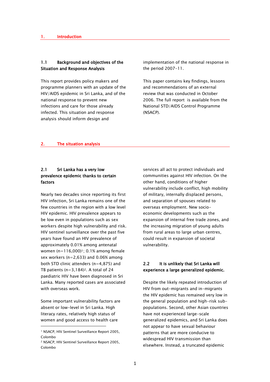#### 1.1 Background and objectives of the Situation and Response Analysis

This report provides policy makers and programme planners with an update of the HIV/AIDS epidemic in Sri Lanka, and of the national response to prevent new infections and care for those already infected. This situation and response analysis should inform design and

implementation of the national response in the period 2007-11.

This paper contains key findings, lessons and recommendations of an external review that was conducted in October 2006. The full report is available from the National STD/AIDS Control Programme (NSACP).

#### 2. The situation analysis

## 2.1 Sri Lanka has a very low prevalence epidemic thanks to certain factors

Nearly two decades since reporting its first HIV infection, Sri Lanka remains one of the few countries in the region with a low level HIV epidemic. HIV prevalence appears to be low even in populations such as sex workers despite high vulnerability and risk. HIV sentinel surveillance over the past five years have found an HIV prevalence of approximately 0.01% among antenatal women  $(n=116,000)^{1}$ : 0.1% among female sex workers  $(n=2.633)$  and 0.06% among both STD clinic attenders (n=4,875) and TB patients  $(n=3,184)^2$ . A total of 24 paediatric HIV have been diagnosed in Sri Lanka. Many reported cases are associated with overseas work.

Some important vulnerability factors are absent or low-level in Sri Lanka. High literacy rates, relatively high status of women and good access to health care

-

services all act to protect individuals and communities against HIV infection. On the other hand, conditions of higher vulnerability include conflict, high mobility of military, internally displaced persons, and separation of spouses related to overseas employment. New socioeconomic developments such as the expansion of internal free trade zones, and the increasing migration of young adults from rural areas to large urban centres, could result in expansion of societal vulnerability.

## 2.2 It is unlikely that Sri Lanka will experience a large generalized epidemic.

Despite the likely repeated introduction of HIV from out-migrants and in-migrants the HIV epidemic has remained very low in the general population and high-risk subpopulations. Second, other Asian countries have not experienced large-scale generalized epidemics, and Sri Lanka does not appear to have sexual behaviour patterns that are more conducive to widespread HIV transmission than elsewhere. Instead, a truncated epidemic

<sup>1</sup> NSACP, HIV Sentinel Surveillance Report 2005, Colombo

<sup>2</sup> NSACP, HIV Sentinel Surveillance Report 2005, Colombo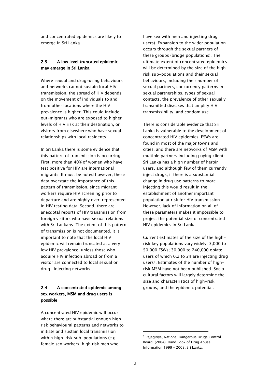and concentrated epidemics are likely to emerge in Sri Lanka

## 2.3 A low level truncated epidemic may emerge in Sri Lanka

Where sexual and drug-using behaviours and networks cannot sustain local HIV transmission, the spread of HIV depends on the movement of individuals to and from other locations where the HIV prevalence is higher. This could include out-migrants who are exposed to higher levels of HIV risk at their destination, or visitors from elsewhere who have sexual relationships with local residents.

In Sri Lanka there is some evidence that this pattern of transmission is occurring. First, more than 40% of women who have test positive for HIV are international migrants. It must be noted however, these data overstate the importance of this pattern of transmission, since migrant workers require HIV screening prior to departure and are highly over-represented in HIV testing data. Second, there are anecdotal reports of HIV transmission from foreign visitors who have sexual relations with Sri Lankans. The extent of this pattern of transmission is not documented. It is important to note that the local HIV epidemic will remain truncated at a very low HIV prevalence, unless those who acquire HIV infection abroad or from a visitor are connected to local sexual or drug- injecting networks.

## 2.4 A concentrated epidemic among sex workers, MSM and drug users is possible

A concentrated HIV epidemic will occur where there are substantial enough highrisk behavioural patterns and networks to initiate and sustain local transmission within high-risk sub-populations (e.g. female sex workers, high risk men who

have sex with men and injecting drug users). Expansion to the wider population occurs through the sexual partners of these groups (bridge populations). The ultimate extent of concentrated epidemics will be determined by the size of the highrisk sub-populations and their sexual behaviours, including their number of sexual partners, concurrency patterns in sexual partnerships, types of sexual contacts, the prevalence of other sexually transmitted diseases that amplify HIV transmissibility, and condom use.

There is considerable evidence that Sri Lanka is vulnerable to the development of concentrated HIV epidemics. FSWs are found in most of the major towns and cities, and there are networks of MSM with multiple partners including paying clients. Sri Lanka has a high number of heroin users, and although few of them currently inject drugs, if there is a substantial change in drug use patterns to more injecting this would result in the establishment of another important population at risk for HIV transmission. However, lack of information on all of these parameters makes it impossible to project the potential size of concentrated HIV epidemics in Sri Lanka.

Current estimates of the size of the highrisk key populations vary widely: 3,000 to 50,000 FSWs; 30,000 to 240,000 opiate users of which 0.2 to 2% are injecting drug users3. Estimates of the number of highrisk MSM have not been published. Sociocultural factors will largely determine the size and characteristics of high-risk groups, and the epidemic potential.

-

<sup>3</sup> Rajagiriya, National Dangerous Drugs Control Board. (2004). Hand Book of Drug Abuse Information 1999 – 2003. Sri Lanka.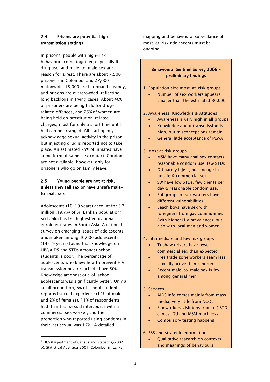## 2.4 Prisons are potential high transmission settings

In prisons, people with high-risk behaviours come together, especially if drug use, and male-to-male sex are reason for arrest. There are about 7,500 prisoners in Colombo, and 27,000 nationwide. 15,000 are in remand custody, and prisons are overcrowded, reflecting long backlogs in trying cases. About 40% of prisoners are being held for drugrelated offences, and 25% of women are being held on prostitution-related charges, most for only a short time until bail can be arranged. All staff openly acknowledge sexual activity in the prison, but injecting drug is reported not to take place. An estimated 75% of inmates have some form of same-sex contact. Condoms are not available, however, only for prisoners who go on family leave.

## 2.5 Young people are not at risk, unless they sell sex or have unsafe maleto-male sex

Adolescents (10-19 years) account for 3.7 million (19.7%) of Sri Lankan population4. Sri Lanka has the highest educational enrolment rates in South Asia. A national survey on emerging issues of adolescents undertaken among 40,000 adolescents (14-19 years) found that knowledge on HIV/AIDS and STDs amongst school students is poor. The percentage of adolescents who knew how to prevent HIV transmission never reached above 50%. Knowledge amongst out-of-school adolescents was significantly better. Only a small proportion, 6% of school students reported sexual experience (14% of males and 2% of females). 11% of respondents had their first sexual intercourse with a commercial sex worker; and the proportion who reported using condoms in their last sexual was 17%. A detailed

-

mapping and behavioural surveillance of most-at-risk adolescents must be ongoing.

## Behavioural Sentinel Survey 2006 – preliminary findings

1. Population size most-at-risk groups

• Number of sex workers appears smaller than the estimated 30,000

2. Awareness, Knowledge & Attitudes

- Awareness is very high in all groups
- Knowledge about transmission is high, but misconceptions remain
- General little acceptance of PLWA

3. Most at risk groups

- MSM have many anal sex contacts, reasonable condom use, few STDs
- DU hardly inject, but engage in unsafe & commercial sex
- SW have low STDs, few clients per day & reasonable condom use.
- Subgroups of sex workers have different vulnerabilities
- Beach boys have sex with foreigners from gay communities (with higher HIV prevalence), but also with local men and women

4. Intermediate and low risk groups

- Trishaw drivers have fewer commercial sex than expected
- Free trade zone workers seem less sexually active than reported
- Recent male-to-male sex is low among general men

#### 5. Services

- AIDS info comes mainly from mass media, very little from NGOs
- Sex workers visit (government) STD clinics; DU and MSM much less
- Compulsory testing happens

#### 6. BSS and strategic information

 Qualitative research on contexts and meanings of behaviours

<sup>4</sup> DCS (Department of Census and Statistics)(2002 b). Statistical Abstracts 2001. Colombo, Sri Lanka.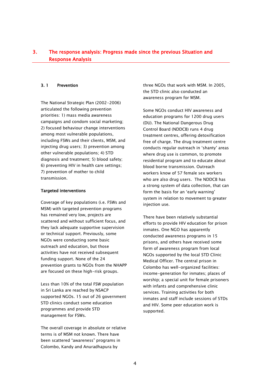## 3. The response analysis: Progress made since the previous Situation and Response Analysis

#### 3. 1 Prevention

The National Strategic Plan (2002-2006) articulated the following prevention priorities: 1) mass media awareness campaigns and condom social marketing; 2) focused behaviour change interventions among most vulnerable populations, including FSWs and their clients, MSM, and injecting drug users; 3) prevention among other vulnerable populations; 4) STD diagnosis and treatment; 5) blood safety; 6) preventing HIV in health care settings; 7) prevention of mother to child transmission.

#### Targeted interventions

Coverage of key populations (i.e. FSWs and MSM) with targeted prevention programs has remained very low, projects are scattered and without sufficient focus, and they lack adequate supportive supervision or technical support. Previously, some NGOs were conducting some basic outreach and education, but those activities have not received subsequent funding support. None of the 24 prevention grants to NGOs from the NHAPP are focused on these high-risk groups.

Less than 10% of the total FSW population in Sri Lanka are reached by NSACP supported NGOs. 15 out of 26 government STD clinics conduct some education programmes and provide STD management for FSWs.

The overall coverage in absolute or relative terms is of MSM not known. There have been scattered "awareness" programs in Colombo, Kandy and Anuradhapura by

three NGOs that work with MSM. In 2005, the STD clinic also conducted an awareness program for MSM.

Some NGOs conduct HIV awareness and education programs for 1200 drug users (DU). The National Dangerous Drug Control Board (NDDCB) runs 4 drug treatment centres, offering detoxification free of charge. The drug treatment centre conducts regular outreach in "shanty" areas where drug use is common, to promote residential program and to educate about blood borne transmission. Outreach workers know of 57 female sex workers who are also drug users. The NDDCB has a strong system of data collection, that can form the basis for an 'early warning' system in relation to movement to greater injection use.

There have been relatively substantial efforts to provide HIV education for prison inmates. One NGO has apparently conducted awareness programs in 15 prisons, and others have received some form of awareness program from local NGOs supported by the local STD Clinic Medical Officer. The central prison in Colombo has well-organized facilities: income-generation for inmates; places of worship; a special unit for female prisoners with infants and comprehensive clinic services. Training activities for both inmates and staff include sessions of STDs and HIV. Some peer education work is supported.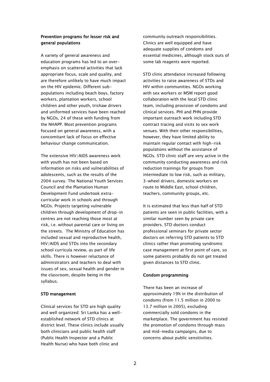#### Prevention programs for lesser risk and general populations

A variety of general awareness and education programs has led to an overemphasis on scattered activities that lack appropriate focus, scale and quality, and are therefore unlikely to have much impact on the HIV epidemic. Different subpopulations including beach boys, factory workers, plantation workers, school children and other youth, trishaw drivers and uniformed services have been reached by NGOs, 24 of these with funding from the NHAPP. Most prevention programs focused on general awareness, with a concomitant lack of focus on effective behaviour change communication.

The extensive HIV/AIDS awareness work with youth has not been based on information on risks and vulnerabilities of adolescents, such as the results of the 2004 survey. The National Youth Services Council and the Plantation Human Development Fund undertook extracurricular work in schools and through NGOs. Projects targeting vulnerable children through development of drop-in centres are not reaching those most at risk, i.e. without parental care or living on the streets. The Ministry of Education has included sexual and reproductive health, HIV/AIDS and STDs into the secondary school curricula review, as part of life skills. There is however reluctance of administrators and teachers to deal with issues of sex, sexual health and gender in the classroom, despite being in the syllabus.

#### STD management

Clinical services for STD are high quality and well organized: Sri Lanka has a wellestablished network of STD clinics at district level. These clinics include usually both clinicians and public health staff (Public Health Inspector and a Public Health Nurse) who have both clinic and

community outreach responsibilities. Clinics are well equipped and have adequate supplies of condoms and essential medicines, although stock outs of some lab reagents were reported.

STD clinic attendance increased following activities to raise awareness of STDs and HIV within communities. NGOs working with sex workers or MSM report good collaboration with the local STD clinic team, including provision of condoms and clinical services. PHI and PHN provide important outreach work including STD contract tracing and visits to sex work venues. With their other responsibilities, however, they have limited ability to maintain regular contact with high-risk populations without the assistance of NGOs. STD clinic staff are very active in the community conducting awareness and risk reduction trainings for groups from intermediate to low risk, such as military, 3-wheel drivers, domestic workers en route to Middle East, school children, teachers, community groups, etc.

It is estimated that less than half of STD patients are seen in public facilities, with a similar number seen by private care providers. STD doctors conduct professional seminars for private sector doctors on referring STD patients to STD clinics rather than promoting syndromic case management at first point of care, so some patients probably do not get treated given distances to STD clinic.

#### Condom programming

There has been an increase of approximately 19% in the distribution of condoms (from 11.5 million in 2000 to 13.7 million in 2005), excluding commercially sold condoms in the marketplace. The government has resisted the promotion of condoms through mass and mid-media campaigns, due to concerns about public sensitivities.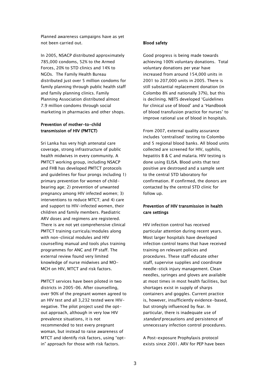Planned awareness campaigns have as yet not been carried out.

In 2005, NSACP distributed approximately 785,000 condoms, 52% to the Armed Forces, 20% to STD clinics and 14% to NGOs. The Family Health Bureau distributed just over 5 million condoms for family planning through public health staff and family planning clinics. Family Planning Association distributed almost 7.9 million condoms through social marketing in pharmacies and other shops.

## Prevention of mother-to-child transmission of HIV (PMTCT)

Sri Lanka has very high antenatal care coverage, strong infrastructure of public health midwives in every community. A PMTCT working group, including NSACP and FHB has developed PMTCT protocols and guidelines for four prongs including 1) primary prevention for women of childbearing age; 2) prevention of unwanted pregnancy among HIV infected women; 3) interventions to reduce MTCT; and 4) care and support to HIV-infected women, their children and family members. Paediatric ARV doses and regimens are registered. There is are not yet comprehensive clinical PMTCT training curricula/modules along with non-clinical modules and HIV counselling manual and tools plus training programmes for ANC and FP staff. The external review found very limited knowledge of nurse midwives and MO-MCH on HIV, MTCT and risk factors.

PMTCT services have been piloted in two districts in 2005-06. After counselling, over 90% of the pregnant women agreed to an HIV test and all 3,232 tested were HIVnegative. The pilot project used the optout approach, although in very low HIV prevalence situations, it is not recommended to test every pregnant woman, but instead to raise awareness of MTCT and identify risk factors, using "optin" approach for those with risk factors.

#### Blood safety

Good progress is being made towards achieving 100% voluntary donations. Total voluntary donations per year have increased from around 154,000 units in 2001 to 207,000 units in 2005. There is still substantial replacement donation (in Colombo 8% and nationally 37%), but this is declining. NBTS developed "Guidelines for clinical use of blood" and a "Handbook of blood transfusion practice for nurses' to improve rational use of blood in hospitals.

From 2007, external quality assurance includes "centralised" testing to Colombo and 5 regional blood banks. All blood units collected are screened for HIV, syphilis, hepatitis B & C and malaria. HIV testing is done using ELISA. Blood units that test positive are destroyed and a sample sent to the central STD laboratory for confirmation. If confirmed, the donors are contacted by the central STD clinic for follow up.

## Prevention of HIV transmission in health care settings

HIV infection control has received particular attention during recent years. Most larger hospitals have developed infection control teams that have received training on relevant policies and procedures. These staff educate other staff, supervise supplies and coordinate needle-stick injury management. Clean needles, syringes and gloves are available at most times in most health facilities, but shortages exist in supply of sharps containers and goggles. Current practice is, however, insufficiently evidence-based, but strongly influenced by fear. In particular, there is inadequate use of standard precautions and persistence of unnecessary infection control procedures.

A Post-exposure Prophylaxis protocol exists since 2001. ARV for PEP have been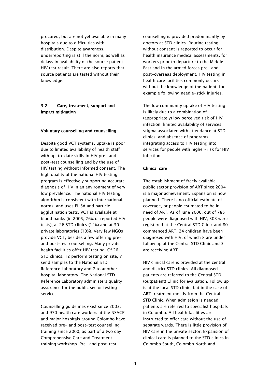procured, but are not yet available in many hospitals due to difficulties with distribution. Despite awareness, underreporting is still the norm, as well as delays in availability of the source patient HIV test result. There are also reports that source patients are tested without their knowledge.

## 3.2 Care, treatment, support and impact mitigation

#### Voluntary counselling and counselling

Despite good VCT systems, uptake is poor due to limited availability of health staff with up-to-date skills in HIV pre- and post-test counselling and by the use of HIV testing without informed consent. The high quality of the national HIV testing program is effectively supporting accurate diagnosis of HIV in an environment of very low prevalence. The national HIV testing algorithm is consistent with international norms, and uses ELISA and particle agglutination tests. VCT is available at blood banks (in 2005, 76% of reported HIV tests), at 26 STD clinics (14%) and at 30 private laboratories (10%). Very few NGOs provide VCT, besides a few offering preand post-test counselling. Many private health facilities offer HIV testing. Of 26 STD clinics, 12 perform testing on site, 7 send samples to the National STD Reference Laboratory and 7 to another hospital laboratory. The National STD Reference Laboratory administers quality assurance for the public sector testing services.

Counselling guidelines exist since 2003, and 970 health care workers at the NSACP and major hospitals around Colombo have received pre- and post-test counselling training since 2000, as part of a two day Comprehensive Care and Treatment training workshop. Pre- and post-test

counselling is provided predominantly by doctors at STD clinics. Routine testing without consent is reported to occur for health insurance medical assessments, for workers prior to departure to the Middle East and in the armed forces pre- and post-overseas deployment. HIV testing in health care facilities commonly occurs without the knowledge of the patient, for example following needle-stick injuries.

The low community uptake of HIV testing is likely due to a combination of (appropriately) low perceived risk of HIV infection; limited availability of services; stigma associated with attendance at STD clinics; and absence of programs integrating access to HIV testing into services for people with higher-risk for HIV infection.

#### Clinical care

The establishment of freely available public sector provision of ART since 2004 is a major achievement. Expansion is now planned. There is no official estimate of coverage, or people estimated to be in need of ART. As of June 2006, out of 785 people were diagnosed with HIV, 303 were registered at the Central STD Clinic and 80 commenced ART. 24 children have been diagnosed with HIV, of which 8 are under follow up at the Central STD Clinic and 3 are receiving ART.

HIV clinical care is provided at the central and district STD clinics. All diagnosed patients are referred to the Central STD (outpatient) Clinic for evaluation. Follow up is at the local STD clinic, but in the case of ART treatment mostly from the Central STD Clinic. When admission is needed, patients are referred to specialist hospitals in Colombo. All health facilities are instructed to offer care without the use of separate wards. There is little provision of HIV care in the private sector. Expansion of clinical care is planned to the STD clinics in Colombo South, Colombo North and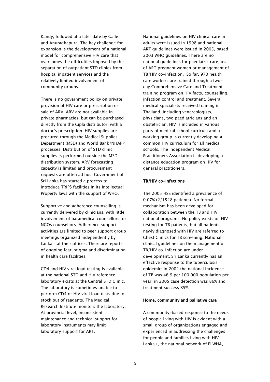Kandy, followed at a later date by Galle and Anuradhapura. The key challenge for expansion is the development of a national model for comprehensive HIV care that overcomes the difficulties imposed by the separation of outpatient STD clinics from hospital inpatient services and the relatively limited involvement of community groups.

There is no government policy on private provision of HIV care or prescription or sale of ARV. ARV are not available in private pharmacies, but can be purchased directly from the Cipla distributor, with a doctor"s prescription. HIV supplies are procured through the Medical Supplies Department (MSD) and World Bank/NHAPP processes. Distribution of STD clinic supplies is performed outside the MSD distribution system. ARV forecasting capacity is limited and procurement requests are often ad hoc. Government of Sri Lanka has started a process to introduce TRIPS facilities in its Intellectual Property laws with the support of WHO.

Supportive and adherence counselling is currently delivered by clinicians, with little involvement of paramedical counsellors, or NGOs counsellors. Adherence support activities are limited to peer support group meetings organized independently by Lanka+ at their offices. There are reports of ongoing fear, stigma and discrimination in health care facilities.

CD4 and HIV viral load testing is available at the national STD and HIV reference laboratory exists at the Central STD Clinic. The laboratory is sometimes unable to perform CD4 or HIV viral load tests due to stock out of reagents. The Medical Research Institute monitors the laboratory. At provincial level, inconsistent maintenance and technical support for laboratory instruments may limit laboratory support for ART.

National guidelines on HIV clinical care in adults were issued in 1998 and national ART guidelines were issued in 2005, based 2003 WHO guidelines. There are no national guidelines for paediatric care, use of ART pregnant women or management of TB/HIV co-infection. So far, 970 health care workers are trained through a twoday Comprehensive Care and Treatment training program on HIV facts, counselling, infection control and treatment. Several medical specialists received training in Thailand, including venereologists, physicians, two paediatricians and an obstetrician. HIV is included in various parts of medical school curricula and a working group is currently developing a common HIV curriculum for all medical schools. The Independent Medical Practitioners Association is developing a distance education program on HIV for general practitioners.

#### TB/HIV co-infections

The 2005 HSS identified a prevalence of 0.07% (2/1528 patients). No formal mechanism has been developed for collaboration between the TB and HIV national programs. No policy exists on HIV testing for TB patients, but all patients newly diagnosed with HIV are referred to Chest Clinics for TB screening. National clinical guidelines on the management of TB/HIV co-infection are under development. Sri Lanka currently has an effective response to the tuberculosis epidemic: in 2002 the national incidence of TB was 46.9 per 100 000 population per year; in 2005 case detection was 86% and treatment success 85%.

#### Home, community and palliative care

A community-based response to the needs of people living with HIV is evident with a small group of organizations engaged and experienced in addressing the challenges for people and families living with HIV. Lanka+, the national network of PLWHA,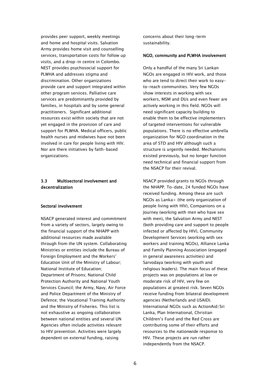provides peer support, weekly meetings and home and hospital visits. Salvation Army provides home visit and counselling services, transportation costs for follow up visits, and a drop-in centre in Colombo. NEST provides psychosocial support for PLWHA and addresses stigma and discrimination. Other organizations provide care and support integrated within other program services. Palliative care services are predominantly provided by families, in hospitals and by some general practitioners. Significant additional resources exist within society that are not yet engaged in the provision of care and support for PLWHA. Medical officers, public health nurses and midwives have not been involved in care for people living with HIV. Nor are there initiatives by faith-based organizations.

## 3.3 Multisectoral involvement and decentralization

#### Sectoral involvement

NSACP generated interest and commitment from a variety of sectors, largely owing to the financial support of the NHAPP with additional resources made available through from the UN system. Collaborating Ministries or entities include the Bureau of Foreign Employment and the Workers' Education Unit of the Ministry of Labour; National Institute of Education; Department of Prisons; National Child Protection Authority and National Youth Services Council; the Army, Navy, Air Force and Police Department of the Ministry of Defence; the Vocational Training Authority and the Ministry of Fisheries. This list is not exhaustive as ongoing collaboration between national entities and several UN Agencies often include activities relevant to HIV prevention. Activities were largely dependent on external funding, raising

concerns about their long-term sustainability.

#### NGO, community and PLWHA involvement

Only a handful of the many Sri Lankan NGOs are engaged in HIV work, and those who are tend to direct their work to easyto-reach communities. Very few NGOs show interests in working with sex workers, MSM and DUs and even fewer are actively working in this field. NGOs will need significant capacity building to enable them to be effective implementers of targeted interventions for vulnerable populations. There is no effective umbrella organization for NGO coordination in the area of STD and HIV although such a structure is urgently needed. Mechanisms existed previously, but no longer function need technical and financial support from the NSACP for their revival.

NSACP provided grants to NGOs through the NHAPP. To-date, 24 funded NGOs have received funding. Among these are such NGOs as Lanka+ (the only organization of people living with HIV), Companions on a Journey (working with men who have sex with men), the Salvation Army and NEST (both providing care and support to people infected or affected by HIV), Community Development Services (working with sex workers and training NGOs), Alliance Lanka and Family Planning Association (engaged in general awareness activities) and Sarvodaya (working with youth and religious leaders). The main focus of these projects was on populations at low or moderate risk of HIV, very few on populations at greatest risk. Seven NGOs receive funding from bilateral development agencies (Netherlands and USAID). International NGOs such as ActionAid/Sri Lanka, Plan International, Christian Children"s Fund and the Red Cross are contributing some of their efforts and resources to the nationwide response to HIV. These projects are run rather independently from the NSACP.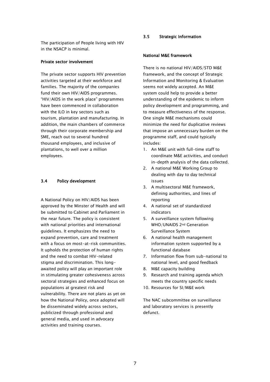The participation of People living with HIV in the NSACP is minimal.

#### Private sector involvement

The private sector supports HIV prevention activities targeted at their workforce and families. The majority of the companies fund their own HIV/AIDS programmes. "HIV/AIDS in the work place" programmes have been commenced in collaboration with the ILO in key sectors such as tourism, plantation and manufacturing. In addition, the main chambers of commerce through their corporate membership and SME, reach out to several hundred thousand employees, and inclusive of plantations, to well over a million employees.

#### 3.4 Policy development

A National Policy on HIV/AIDS has been approved by the Minster of Health and will be submitted to Cabinet and Parliament in the near future. The policy is consistent with national priorities and international guidelines. It emphasizes the need to expand prevention, care and treatment with a focus on most-at-risk communities. It upholds the protection of human rights and the need to combat HIV-related stigma and discrimination. This longawaited policy will play an important role in stimulating greater cohesiveness across sectoral strategies and enhanced focus on populations at greatest risk and vulnerability. There are not plans as yet on how the National Policy, once adopted will be disseminated widely across sectors, publicized through professional and general media, and used in advocacy activities and training courses.

#### 3.5 Strategic Information

#### National M&E framework

There is no national HIV/AIDS/STD M&E framework, and the concept of Strategic Information and Monitoring & Evaluation seems not widely accepted. An M&E system could help to provide a better understanding of the epidemic to inform policy development and programming, and to measure effectiveness of the response. One single M&E mechanisms could minimize the need for duplicative reviews that impose an unnecessary burden on the programme staff, and could typically includes:

- 1. An M&E unit with full-time staff to coordinate M&E activities, and conduct in-depth analysis of the data collected.
- 2. A national M&E Working Group to dealing with day to day technical issues
- 3. A multisectoral M&E framework, defining authorities, and lines of reporting
- 4. A national set of standardized indicators
- 5. A surveillance system following WHO/UNAIDS 2nd Generation Surveillance System
- 6. A national health management information system supported by a functional database
- 7. Information flow from sub-national to national level, and good feedback
- 8. M&E capacity building
- 9. Research and training agenda which meets the country specific needs
- 10. Resources for SI/M&E work

The NAC subcommittee on surveillance and laboratory services is presently defunct.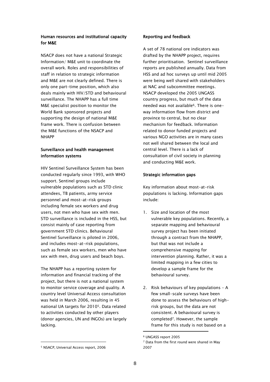#### Human resources and institutional capacity for M&E

NSACP does not have a national Strategic Information/ M&E unit to coordinate the overall work. Roles and responsibilities of staff in relation to strategic information and M&E are not clearly defined. There is only one part-time position, which also deals mainly with HIV/STD and behavioural surveillance. The NHAPP has a full time M&E specialist position to monitor the World Bank sponsored projects and supporting the design of national M&E frame work. There is confusion between the M&E functions of the NSACP and NHAPP

## Surveillance and health management information systems

HIV Sentinel Surveillance System has been conducted regularly since 1993, with WHO support. Sentinel groups include vulnerable populations such as STD clinic attendees, TB patients, army service personnel and most-at-risk groups including female sex workers and drug users, not men who have sex with men. STD surveillance is included in the HSS, but consist mainly of case reporting from government STD clinics. Behavioural Sentinel Surveillance is piloted in 2006, and includes most-at-risk populations, such as female sex workers, men who have sex with men, drug users and beach boys.

The NHAPP has a reporting system for information and financial tracking of the project, but there is not a national system to monitor service coverage and quality. A country level Universal Access consultation was held in March 2006, resulting in 45 national UA targets for 20105. Data related to activities conducted by other players (donor agencies, UN and INGOs) are largely lacking.

#### Reporting and feedback

A set of 78 national ore indicators was drafted by the NHAPP project, requires further prioritisation. Sentinel surveillance reports are published annually. Data from HSS and ad hoc surveys up until mid 2005 were being well shared with stakeholders at NAC and subcommittee meetings. NSACP developed the 2005 UNGASS country progress, but much of the data needed was not available6. There is oneway information flow from district and province to central, but no clear mechanism for feedback. Information related to donor funded projects and various NGO activities are in many cases not well shared between the local and central level. There is a lack of consultation of civil society in planning and conducting M&E work.

#### Strategic information gaps

Key information about most-at-risk populations is lacking. Information gaps include:

- 1. Size and location of the most vulnerable key populations. Recently, a separate mapping and behavioural survey project has been initiated through a contract from the NHAPP, but that was not include a comprehensive mapping for intervention planning. Rather, it was a limited mapping in a few cities to develop a sample frame for the behavioural survey.
- 2. Risk behaviours of key populations A few small-scale surveys have been done to assess the behaviours of highrisk groups, but the data are not consistent. A behavioural survey is completed7. However, the sample frame for this study is not based on a

-

-

<sup>6</sup> UNGASS report 2005

<sup>7</sup> Data from the first round were shared in May 2007

<sup>5</sup> NSACP, Universal Access report, 2006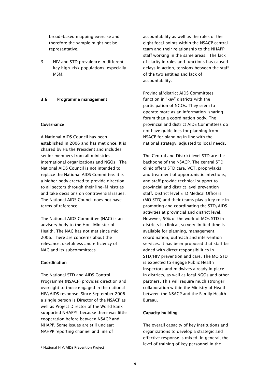broad-based mapping exercise and therefore the sample might not be representative.

3. HIV and STD prevalence in different key high-risk populations, especially MSM.

#### 3.6 Programme management

#### Governance

A National AIDS Council has been established in 2006 and has met once. It is chaired by HE the President and includes senior members from all ministries, international organizations and NGOs. The National AIDS Council is not intended to replace the National AIDS Committee: it is a higher body erected to provide direction to all sectors through their line-Ministries and take decisions on controversial issues. The National AIDS Council does not have terms of reference.

The National AIDS Committee (NAC) is an advisory body to the Hon. Minister of Health. The NAC has not met since mid 2006. There are concerns about the relevance, usefulness and efficiency of NAC and its subcommittees.

#### Coordination

-

The National STD and AIDS Control Programme (NSACP) provides direction and oversight to those engaged in the national HIV/AIDS response. Since September 2006 a single person is Director of the NSACP as well as Project Director of the World Bank supported NHAPP8, because there was little cooperation before between NSACP and NHAPP. Some issues are still unclear: NAHPP reporting channel and line of

accountability as well as the roles of the eight focal points within the NSACP central team and their relationship to the NHAPP staff working in the same areas. The lack of clarity in roles and functions has caused delays in action, tensions between the staff of the two entities and lack of accountability.

Provincial/district AIDS Committees function in "key" districts with the participation of NGOs. They seem to operate more as an information-sharing forum than a coordination body. The provincial and district AIDS Committees do not have guidelines for planning from NSACP for planning in line with the national strategy, adjusted to local needs.

The Central and District level STD are the backbone of the NSACP. The central STD clinic offers STD care, VCT, prophylaxis and treatment of opportunistic infections; and staff provide technical support to provincial and district level prevention staff. District level STD Medical Officers (MO STD) and their teams play a key role in promoting and coordinating the STD/AIDS activities at provincial and district level. However, 50% of the work of MOs STD in districts is clinical, so very limited time is available for planning, management, coordination, outreach and intervention services. It has been proposed that staff be added with direct responsibilities in STD/HIV prevention and care. The MO STD is expected to engage Public Health Inspectors and midwives already in place in districts, as well as local NGOs and other partners. This will require much stronger collaboration within the Ministry of Health between the NSACP and the Family Health Bureau.

#### Capacity building

The overall capacity of key institutions and organizations to develop a strategic and effective response is mixed. In general, the level of training of key personnel in the

<sup>8</sup> National HIV/AIDS Prevention Project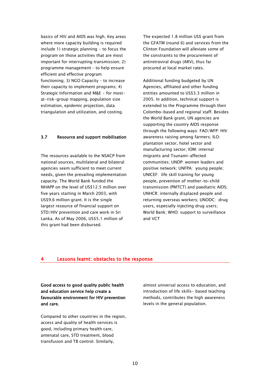basics of HIV and AIDS was high. Key areas where more capacity building is required include 1) strategic planning - to focus the program on those activities that are most important for interrupting transmission; 2) programme management – to help ensure efficient and effective program functioning; 3) NGO Capacity – to increase their capacity to implement programs; 4) Strategic Information and M&E - for mostat-risk-group mapping, population size estimation, epidemic projection, data triangulation and utilization, and costing.

## 3.7 Resource and support mobilisation

The resources available to the NSACP from national sources, multilateral and bilateral agencies seem sufficient to meet current needs, given the prevailing implementation capacity. The World Bank funded the NHAPP on the level of US\$12.5 million over five years starting in March 2003, with US\$9.6 million grant. It is the single largest resource of financial support on STD/HIV prevention and care work in Sri Lanka. As of May 2006, US\$5.1 million of this grant had been disbursed.

The expected 1.8 million US\$ grant from the GFATM (round 6) and services from the Clinton Foundation will alleviate some of the constraints to the procurement of antiretroviral drugs (ARV), thus far procured at local market rates.

Additional funding budgeted by UN Agencies, affiliated and other funding entities amounted to US\$3.3 million in 2005. In addition, technical support is extended to the Programme through their Colombo-based and regional staff. Besides the World Bank grant, UN agencies are supporting the country AIDS response through the following ways: FAO/WFP: HIV awareness raising among farmers; ILO: plantation sector, hotel sector and manufacturing sector; IOM: internal migrants and Tsunami-affected communities; UNDP: women leaders and positive network; UNFPA: young people; UNICEF: life skill training for young people, prevention of mother-to-child transmission (PMTCT) and paediatric AIDS; UNHCR: internally displaced people and returning overseas workers; UNODC: drug users, especially injecting drug users; World Bank; WHO: support to surveillance and VCT

#### 4 Lessons learnt: obstacles to the response

Good access to good quality public health and education service help create a favourable environment for HIV prevention and care.

Compared to other countries in the region, access and quality of health services is good, including primary health care, antenatal care, STD treatment, blood transfusion and TB control. Similarly,

almost universal access to education, and introduction of life skills- based teaching methods, contributes the high awareness levels in the general population.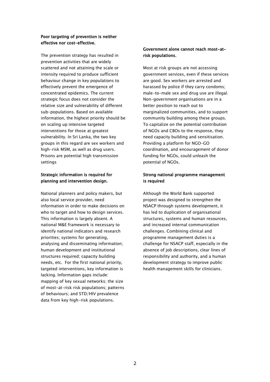## Poor targeting of prevention is neither effective nor cost-effective.

The prevention strategy has resulted in prevention activities that are widely scattered and not attaining the scale or intensity required to produce sufficient behaviour change in key populations to effectively prevent the emergence of concentrated epidemics. The current strategic focus does not consider the relative size and vulnerability of different sub-populations. Based on available information, the highest priority should be on scaling up intensive targeted interventions for those at greatest vulnerability. In Sri Lanka, the two key groups in this regard are sex workers and high-risk MSM, as well as drug users. Prisons are potential high transmission settings

## Strategic information is required for planning and intervention design.

National planners and policy makers, but also local service provider, need information in order to make decisions on who to target and how to design services. This information is largely absent. A national M&E framework is necessary to identify national indicators and research priorities; systems for generating, analysing and disseminating information; human development and institutional structures required; capacity building needs, etc. For the first national priority, targeted interventions, key information is lacking. Information gaps include: mapping of key sexual networks; the size of most-at-risk risk populations; patterns of behaviours; and STD/HIV prevalence data from key high-risk populations.

## Government alone cannot reach most-atrisk populations.

Most at risk groups are not accessing government services, even if these services are good. Sex workers are arrested and harassed by police if they carry condoms; male-to-male sex and drug use are illegal. Non-government organisations are in a better position to reach out to marginalized communities, and to support community building among these groups. To capitalize on the potential contribution of NGOs and CBOs to the response, they need capacity building and sensitisation. Providing a platform for NGO-GO coordination, and encouragement of donor funding for NGOs, could unleash the potential of NGOs.

## Strong national programme management is required

Although the World Bank supported project was designed to strengthen the NSACP through systems development, it has led to duplication of organisational structures, systems and human resources, and increased internal communication challenges. Combining clinical and programme management duties is a challenge for NSACP staff, especially in the absence of job descriptions, clear lines of responsibility and authority, and a human development strategy to improve public health management skills for clinicians.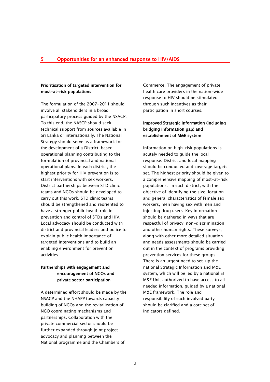#### Prioritisation of targeted intervention for most-at-risk populations

The formulation of the 2007-2011 should involve all stakeholders in a broad participatory process guided by the NSACP. To this end, the NASCP should seek technical support from sources available in Sri Lanka or internationally. The National Strategy should serve as a framework for the development of a District-based operational planning contributing to the formulation of provincial and national operational plans. In each district, the highest priority for HIV prevention is to start interventions with sex workers. District partnerships between STD clinic teams and NGOs should be developed to carry out this work. STD clinic teams should be strengthened and reoriented to have a stronger public health role in prevention and control of STDs and HIV. Local advocacy should be conducted with district and provincial leaders and police to explain public health importance of targeted interventions and to build an enabling environment for prevention activities.

## Partnerships with engagement and encouragement of NGOs and private sector participation

A determined effort should be made by the NSACP and the NHAPP towards capacity building of NGOs and the revitalization of NGO coordinating mechanisms and partnerships. Collaboration with the private commercial sector should be further expanded through joint project advocacy and planning between the National programme and the Chambers of

Commerce. The engagement of private health care providers in the nation-wide response to HIV should be stimulated through such incentives as their participation in short courses.

## Improved Strategic information (including bridging information gap) and establishment of M&E system

Information on high-risk populations is acutely needed to guide the local response. District and local mapping should be conducted and coverage targets set. The highest priority should be given to a comprehensive mapping of most-at-risk populations. In each district, with the objective of identifying the size, location and general characteristics of female sex workers, men having sex with men and injecting drug users. Key information should be gathered in ways that are respectful of privacy, non-discrimination and other human rights. These surveys, along with other more detailed situation and needs assessments should be carried out in the context of programs providing prevention services for these groups. There is an urgent need to set-up the national Strategic Information and M&E system, which will be led by a national SI M&E Unit authorized to have access to all needed information, guided by a national M&E framework. The role and responsibility of each involved party should be clarified and a core set of indicators defined.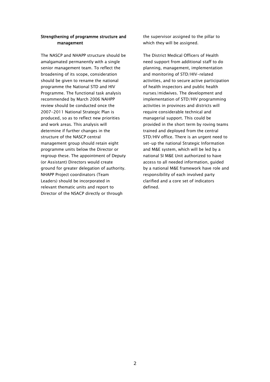#### Strengthening of programme structure and management

The NASCP and NHAPP structure should be amalgamated permanently with a single senior management team. To reflect the broadening of its scope, consideration should be given to rename the national programme the National STD and HIV Programme. The functional task analysis recommended by March 2006 NAHPP review should be conducted once the 2007-2011 National Strategic Plan is produced, so as to reflect new priorities and work areas. This analysis will determine if further changes in the structure of the NASCP central management group should retain eight programme units below the Director or regroup these. The appointment of Deputy (or Assistant) Directors would create ground for greater delegation of authority. NHAPP Project coordinators (Team Leaders) should be incorporated in relevant thematic units and report to Director of the NSACP directly or through

the supervisor assigned to the pillar to which they will be assigned.

The District Medical Officers of Health need support from additional staff to do planning, management, implementation and monitoring of STD/HIV-related activities, and to secure active participation of health inspectors and public health nurses/midwives. The development and implementation of STD/HIV programming activities in provinces and districts will require considerable technical and managerial support. This could be provided in the short term by roving teams trained and deployed from the central STD/HIV office. There is an urgent need to set-up the national Strategic Information and M&E system, which will be led by a national SI M&E Unit authorized to have access to all needed information, guided by a national M&E framework have role and responsibility of each involved party clarified and a core set of indicators defined.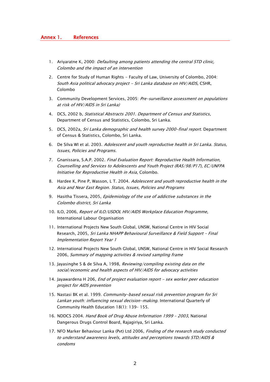#### Annex 1. References

- 1. Ariyaratne K, 2000: *Defaulting among patients attending the central STD clinic,* Colombo and the impact of an intervention
- 2. Centre for Study of Human Rights Faculty of Law, University of Colombo, 2004: South Asia political advocacy project - Sri Lanka database on HIV/AIDS, CSHR, Colombo
- 3. Community Development Services, 2005: Pre-surveillance assessment on populations at risk of HIV/AIDS in Sri Lanka)
- 4. DCS, 2002 b, Statistical Abstracts 2001. Department of Census and Statistics, Department of Census and Statistics, Colombo, Sri Lanka.
- 5. DCS, 2002a, Sri Lanka demographic and health survey 2000-final report. Department of Census & Statistics, Colombo, Sri Lanka.
- 6. De Silva WI et al. 2003. Adolescent and youth reproductive health in Sri Lanka. Status, Issues, Policies and Programs.
- 7. Gnanissara, S.A.P. 2002. Final Evaluation Report: Reproductive Health Information, Counselling and Services to Adolescents and Youth Project (RAS/98/P17), EC/UNFPA Initiative for Reproductive Health in Asia, Colombo.
- 8. Hardee K, Pine P, Wasson, L T. 2004. Adolescent and youth reproductive health in the Asia and Near East Region. Status, Issues, Policies and Programs
- 9. Hasitha Tissera, 2005, *Epidemiology of the use of addictive substances in the* Colombo district, Sri Lanka
- 10. ILO, 2006, Report of ILO/USDOL HIV/AIDS Workplace Education Programme, International Labour Organisation
- 11. International Projects New South Global, UNSW, National Centre in HIV Social Research, 2005, Sri Lanka NHAPP Behavioural Surveillance & Field Support – Final Implementation Report Year 1
- 12. International Projects New South Global, UNSW, National Centre in HIV Social Research 2006, Summary of mapping activities & revised sampling frame
- 13. Jayasinghe S & de Silva A, 1998, Reviewing/compiling existing data on the social/economic and health aspects of HIV/AIDS for advocacy activities
- 14. Jayawardena H 206, *End of project evaluation report sex worker peer education* project for AIDS prevention
- 15. Nastasi BK et al. 1999. Community-based sexual risk prevention program for Sri Lankan youth: influencing sexual decision-making. International Quarterly of Community Health Education 18(1): 139– 155.
- 16. NDDCS 2004. Hand Book of Drug Abuse Information 1999 2003, National Dangerous Drugs Control Board, Rajagiriya, Sri Lanka.
- 17. NFO Marker Behaviour Lanka (Pvt) Ltd 2006. Finding of the research study conducted to understand awareness levels, attitudes and perceptions towards STD/AIDS & condoms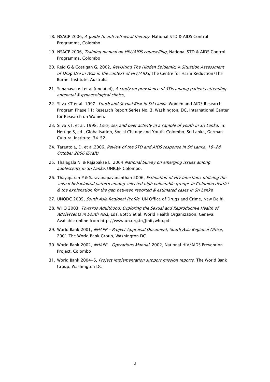- 18. NSACP 2006, A guide to anti retroviral therapy, National STD & AIDS Control Programme, Colombo
- 19. NSACP 2006, Training manual on HIV/AIDS counselling, National STD & AIDS Control Programme, Colombo
- 20. Reid G & Costigan G, 2002, Revisiting The Hidden Epidemic, A Situation Assessment of Drug Use in Asia in the context of HIV/AIDS, The Centre for Harm Reduction/The Burnet Institute, Australia
- 21. Senanayake I et al (undated), A study on prevalence of STIs among patients attending antenatal & gynaecological clinics,
- 22. Silva KT et al. 1997. Youth and Sexual Risk in Sri Lanka. Women and AIDS Research Program Phase 11: Research Report Series No. 3. Washington, DC, International Center for Research on Women.
- 23. Silva KT, et al. 1998. Love, sex and peer activity in a sample of youth in Sri Lanka. In: Hettige S, ed., Globalisation, Social Change and Youth. Colombo, Sri Lanka, German Cultural Institute: 34–52.
- 24. Tarantola, D. et al.2006, Review of the STD and AIDS response in Sri Lanka, 16-28 October 2006 (Draft)
- 25. Thalagala NI & Rajapakse L. 2004 National Survey on emerging issues among adolescents in Sri Lanka. UNICEF Colombo.
- 26. Thayaparan P & Saravanapavananthan 2006, *Estimation of HIV infections utilizing the* sexual behavioural pattern among selected high vulnerable groups in Colombo district & the explanation for the gap between reported & estimated cases in Sri Lanka
- 27. UNODC 2005, South Asia Regional Profile, UN Office of Drugs and Crime, New Delhi.
- 28. WHO 2003, Towards Adulthood: Exploring the Sexual and Reproductive Health of Adolescents in South Asia, Eds. Bott S et al. World Health Organization, Geneva. Available online from http://www.un.org.in/Jinit/who.pdf
- 29. World Bank 2001, NHAPP Project Appraisal Document, South Asia Regional Office, 2001 The World Bank Group, Washington DC
- 30. World Bank 2002, NHAPP Operations Manual, 2002, National HIV/AIDS Prevention Project, Colombo
- 31. World Bank 2004-6, Project implementation support mission reports, The World Bank Group, Washington DC